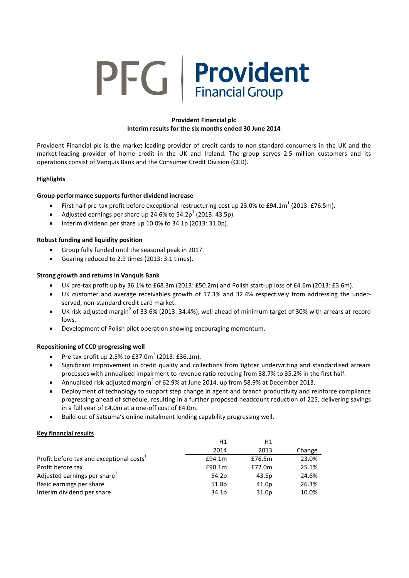# **PFG** Provident **Financial Group**

# **Provident Financial plc Interim results for the six months ended 30 June 2014**

Provident Financial plc is the market-leading provider of credit cards to non-standard consumers in the UK and the market-leading provider of home credit in the UK and Ireland. The group serves 2.5 million customers and its operations consist of Vanquis Bank and the Consumer Credit Division (CCD).

# **Highlights**

# **Group performance supports further dividend increase**

- First half pre-tax profit before exceptional restructuring cost up 23.0% to £94.1m<sup>1</sup> (2013: £76.5m).
- Adjusted earnings per share up 24.6% to 54.2p<sup>1</sup> (2013: 43.5p).
- $\bullet$  Interim dividend per share up 10.0% to 34.1p (2013: 31.0p).

# **Robust funding and liquidity position**

- Group fully funded until the seasonal peak in 2017.
- Gearing reduced to 2.9 times (2013: 3.1 times).

# **Strong growth and returns in Vanquis Bank**

- UK pre-tax profit up by 36.1% to £68.3m (2013: £50.2m) and Polish start-up loss of £4.6m (2013: £3.6m).
- UK customer and average receivables growth of 17.3% and 32.4% respectively from addressing the underserved, non-standard credit card market.
- UK risk-adjusted margin<sup>2</sup> of 33.6% (2013: 34.4%), well ahead of minimum target of 30% with arrears at record lows.
- Development of Polish pilot operation showing encouraging momentum.

# **Repositioning of CCD progressing well**

- Pre-tax profit up 2.5% to  $E37.0m^1$  (2013: £36.1m).
- Significant improvement in credit quality and collections from tighter underwriting and standardised arrears processes with annualised impairment to revenue ratio reducing from 38.7% to 35.2% in the first half.
- Annualised risk-adjusted margin<sup>2</sup> of 62.9% at June 2014, up from 58.9% at December 2013.
- Deployment of technology to support step change in agent and branch productivity and reinforce compliance progressing ahead of schedule, resulting in a further proposed headcount reduction of 225, delivering savings in a full year of £4.0m at a one-off cost of £4.0m.
- Build-out of Satsuma's online instalment lending capability progressing well.

# **Key financial results**

|                                                      | H1     | H1     |        |
|------------------------------------------------------|--------|--------|--------|
|                                                      | 2014   | 2013   | Change |
| Profit before tax and exceptional costs <sup>1</sup> | £94.1m | £76.5m | 23.0%  |
| Profit before tax                                    | £90.1m | £72.0m | 25.1%  |
| Adjusted earnings per share <sup>1</sup>             | 54.2p  | 43.5p  | 24.6%  |
| Basic earnings per share                             | 51.8p  | 41.0p  | 26.3%  |
| Interim dividend per share                           | 34.1p  | 31.0p  | 10.0%  |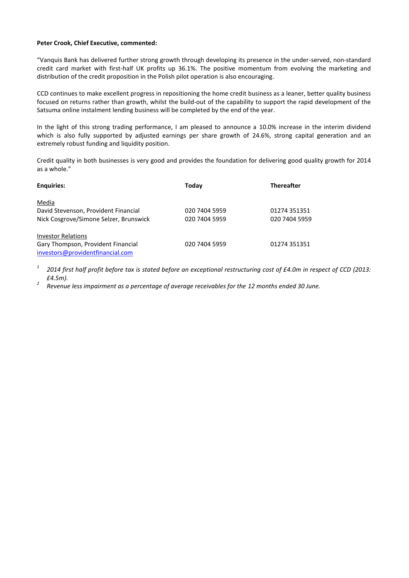## **Peter Crook, Chief Executive, commented:**

"Vanquis Bank has delivered further strong growth through developing its presence in the under-served, non-standard credit card market with first-half UK profits up 36.1%. The positive momentum from evolving the marketing and distribution of the credit proposition in the Polish pilot operation is also encouraging.

CCD continues to make excellent progress in repositioning the home credit business as a leaner, better quality business focused on returns rather than growth, whilst the build-out of the capability to support the rapid development of the Satsuma online instalment lending business will be completed by the end of the year.

In the light of this strong trading performance, I am pleased to announce a 10.0% increase in the interim dividend which is also fully supported by adjusted earnings per share growth of 24.6%, strong capital generation and an extremely robust funding and liquidity position.

Credit quality in both businesses is very good and provides the foundation for delivering good quality growth for 2014 as a whole."

| <b>Enguiries:</b>                      | Today         | <b>Thereafter</b> |
|----------------------------------------|---------------|-------------------|
| Media                                  |               |                   |
| David Stevenson, Provident Financial   | 020 7404 5959 | 01274 351351      |
| Nick Cosgrove/Simone Selzer, Brunswick | 020 7404 5959 | 020 7404 5959     |
| <b>Investor Relations</b>              |               |                   |
| Gary Thompson, Provident Financial     | 020 7404 5959 | 01274 351351      |
| investors@providentfinancial.com       |               |                   |

*1 2014 first half profit before tax is stated before an exceptional restructuring cost of £4.0m in respect of CCD (2013: £4.5m).*

*2 Revenue less impairment as a percentage of average receivables for the 12 months ended 30 June.*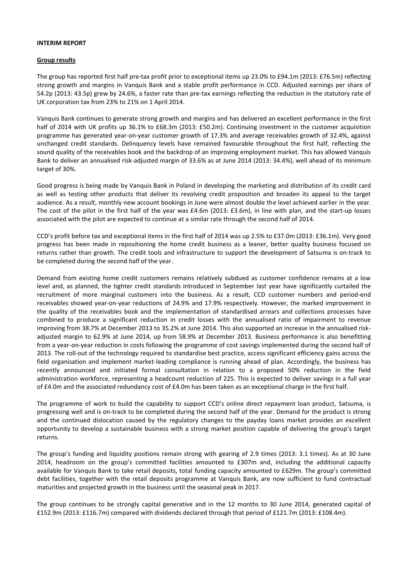## **INTERIM REPORT**

## **Group results**

The group has reported first half pre-tax profit prior to exceptional items up 23.0% to £94.1m (2013: £76.5m) reflecting strong growth and margins in Vanquis Bank and a stable profit performance in CCD. Adjusted earnings per share of 54.2p (2013: 43.5p) grew by 24.6%, a faster rate than pre-tax earnings reflecting the reduction in the statutory rate of UK corporation tax from 23% to 21% on 1 April 2014.

Vanquis Bank continues to generate strong growth and margins and has delivered an excellent performance in the first half of 2014 with UK profits up 36.1% to £68.3m (2013: £50.2m). Continuing investment in the customer acquisition programme has generated year-on-year customer growth of 17.3% and average receivables growth of 32.4%, against unchanged credit standards. Delinquency levels have remained favourable throughout the first half, reflecting the sound quality of the receivables book and the backdrop of an improving employment market. This has allowed Vanquis Bank to deliver an annualised risk-adjusted margin of 33.6% as at June 2014 (2013: 34.4%), well ahead of its minimum target of 30%.

Good progress is being made by Vanquis Bank in Poland in developing the marketing and distribution of its credit card as well as testing other products that deliver its revolving credit proposition and broaden its appeal to the target audience. As a result, monthly new account bookings in June were almost double the level achieved earlier in the year. The cost of the pilot in the first half of the year was £4.6m (2013: £3.6m), in line with plan, and the start-up losses associated with the pilot are expected to continue at a similar rate through the second half of 2014.

CCD's profit before tax and exceptional items in the first half of 2014 was up 2.5% to £37.0m (2013: £36.1m). Very good progress has been made in repositioning the home credit business as a leaner, better quality business focused on returns rather than growth. The credit tools and infrastructure to support the development of Satsuma is on-track to be completed during the second half of the year.

Demand from existing home credit customers remains relatively subdued as customer confidence remains at a low level and, as planned, the tighter credit standards introduced in September last year have significantly curtailed the recruitment of more marginal customers into the business. As a result, CCD customer numbers and period-end receivables showed year-on-year reductions of 24.9% and 17.9% respectively. However, the marked improvement in the quality of the receivables book and the implementation of standardised arrears and collections processes have combined to produce a significant reduction in credit losses with the annualised ratio of impairment to revenue improving from 38.7% at December 2013 to 35.2% at June 2014. This also supported an increase in the annualised riskadjusted margin to 62.9% at June 2014, up from 58.9% at December 2013. Business performance is also benefitting from a year-on-year reduction in costs following the programme of cost savings implemented during the second half of 2013. The roll-out of the technology required to standardise best practice, access significant efficiency gains across the field organisation and implement market-leading compliance is running ahead of plan. Accordingly, the business has recently announced and initiated formal consultation in relation to a proposed 50% reduction in the field administration workforce, representing a headcount reduction of 225. This is expected to deliver savings in a full year of £4.0m and the associated redundancy cost of £4.0m has been taken as an exceptional charge in the first half.

The programme of work to build the capability to support CCD's online direct repayment loan product, Satsuma, is progressing well and is on-track to be completed during the second half of the year. Demand for the product is strong and the continued dislocation caused by the regulatory changes to the payday loans market provides an excellent opportunity to develop a sustainable business with a strong market position capable of delivering the group's target returns.

The group's funding and liquidity positions remain strong with gearing of 2.9 times (2013: 3.1 times). As at 30 June 2014, headroom on the group's committed facilities amounted to £307m and, including the additional capacity available for Vanquis Bank to take retail deposits, total funding capacity amounted to £629m. The group's committed debt facilities, together with the retail deposits programme at Vanquis Bank, are now sufficient to fund contractual maturities and projected growth in the business until the seasonal peak in 2017.

The group continues to be strongly capital generative and in the 12 months to 30 June 2014, generated capital of £152.9m (2013: £116.7m) compared with dividends declared through that period of £121.7m (2013: £108.4m).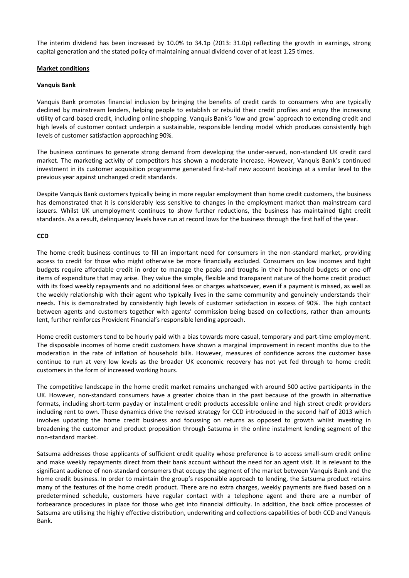The interim dividend has been increased by 10.0% to 34.1p (2013: 31.0p) reflecting the growth in earnings, strong capital generation and the stated policy of maintaining annual dividend cover of at least 1.25 times.

# **Market conditions**

# **Vanquis Bank**

Vanquis Bank promotes financial inclusion by bringing the benefits of credit cards to consumers who are typically declined by mainstream lenders, helping people to establish or rebuild their credit profiles and enjoy the increasing utility of card-based credit, including online shopping. Vanquis Bank's 'low and grow' approach to extending credit and high levels of customer contact underpin a sustainable, responsible lending model which produces consistently high levels of customer satisfaction approaching 90%.

The business continues to generate strong demand from developing the under-served, non-standard UK credit card market. The marketing activity of competitors has shown a moderate increase. However, Vanquis Bank's continued investment in its customer acquisition programme generated first-half new account bookings at a similar level to the previous year against unchanged credit standards.

Despite Vanquis Bank customers typically being in more regular employment than home credit customers, the business has demonstrated that it is considerably less sensitive to changes in the employment market than mainstream card issuers. Whilst UK unemployment continues to show further reductions, the business has maintained tight credit standards. As a result, delinquency levels have run at record lows for the business through the first half of the year.

# **CCD**

The home credit business continues to fill an important need for consumers in the non-standard market, providing access to credit for those who might otherwise be more financially excluded. Consumers on low incomes and tight budgets require affordable credit in order to manage the peaks and troughs in their household budgets or one-off items of expenditure that may arise. They value the simple, flexible and transparent nature of the home credit product with its fixed weekly repayments and no additional fees or charges whatsoever, even if a payment is missed, as well as the weekly relationship with their agent who typically lives in the same community and genuinely understands their needs. This is demonstrated by consistently high levels of customer satisfaction in excess of 90%. The high contact between agents and customers together with agents' commission being based on collections, rather than amounts lent, further reinforces Provident Financial's responsible lending approach.

Home credit customers tend to be hourly paid with a bias towards more casual, temporary and part-time employment. The disposable incomes of home credit customers have shown a marginal improvement in recent months due to the moderation in the rate of inflation of household bills. However, measures of confidence across the customer base continue to run at very low levels as the broader UK economic recovery has not yet fed through to home credit customers in the form of increased working hours.

The competitive landscape in the home credit market remains unchanged with around 500 active participants in the UK. However, non-standard consumers have a greater choice than in the past because of the growth in alternative formats, including short-term payday or instalment credit products accessible online and high street credit providers including rent to own. These dynamics drive the revised strategy for CCD introduced in the second half of 2013 which involves updating the home credit business and focussing on returns as opposed to growth whilst investing in broadening the customer and product proposition through Satsuma in the online instalment lending segment of the non-standard market.

Satsuma addresses those applicants of sufficient credit quality whose preference is to access small-sum credit online and make weekly repayments direct from their bank account without the need for an agent visit. It is relevant to the significant audience of non-standard consumers that occupy the segment of the market between Vanquis Bank and the home credit business. In order to maintain the group's responsible approach to lending, the Satsuma product retains many of the features of the home credit product. There are no extra charges, weekly payments are fixed based on a predetermined schedule, customers have regular contact with a telephone agent and there are a number of forbearance procedures in place for those who get into financial difficulty. In addition, the back office processes of Satsuma are utilising the highly effective distribution, underwriting and collections capabilities of both CCD and Vanquis Bank.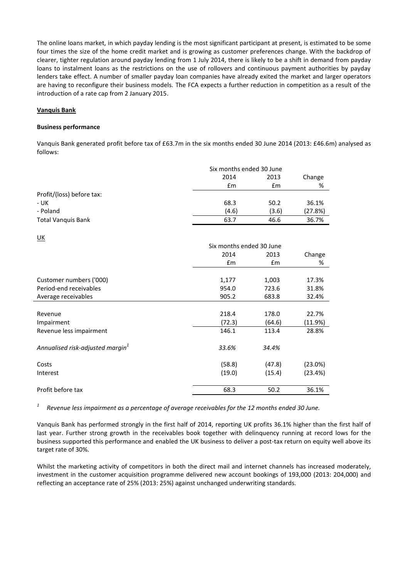The online loans market, in which payday lending is the most significant participant at present, is estimated to be some four times the size of the home credit market and is growing as customer preferences change. With the backdrop of clearer, tighter regulation around payday lending from 1 July 2014, there is likely to be a shift in demand from payday loans to instalment loans as the restrictions on the use of rollovers and continuous payment authorities by payday lenders take effect. A number of smaller payday loan companies have already exited the market and larger operators are having to reconfigure their business models. The FCA expects a further reduction in competition as a result of the introduction of a rate cap from 2 January 2015.

## **Vanquis Bank**

## **Business performance**

Vanquis Bank generated profit before tax of £63.7m in the six months ended 30 June 2014 (2013: £46.6m) analysed as follows:

|                           | Six months ended 30 June |       |         |
|---------------------------|--------------------------|-------|---------|
|                           | 2014                     | 2013  | Change  |
|                           | $\mathbf{f}$ m           | £m    | %       |
| Profit/(loss) before tax: |                          |       |         |
| - UK                      | 68.3                     | 50.2  | 36.1%   |
| - Poland                  | (4.6)                    | (3.6) | (27.8%) |
| <b>Total Vanquis Bank</b> | 63.7                     | 46.6  | 36.7%   |
|                           |                          |       |         |
| $\underline{\mathsf{UK}}$ |                          |       |         |

|                                     | Six months ended 30 June |               |         |
|-------------------------------------|--------------------------|---------------|---------|
|                                     | 2014                     | 2013          | Change  |
|                                     | £m                       | $\mathsf{fm}$ | %       |
|                                     |                          |               |         |
| Customer numbers ('000)             | 1,177                    | 1,003         | 17.3%   |
| Period-end receivables              | 954.0                    | 723.6         | 31.8%   |
| Average receivables                 | 905.2                    | 683.8         | 32.4%   |
|                                     |                          |               |         |
| Revenue                             | 218.4                    | 178.0         | 22.7%   |
| Impairment                          | (72.3)                   | (64.6)        | (11.9%) |
| Revenue less impairment             | 146.1                    | 113.4         | 28.8%   |
| Annualised risk-adjusted margin $1$ | 33.6%                    | 34.4%         |         |
|                                     |                          |               |         |
| Costs                               | (58.8)                   | (47.8)        | (23.0%) |
| Interest                            | (19.0)                   | (15.4)        | (23.4%) |
| Profit before tax                   | 68.3                     | 50.2          | 36.1%   |

*1 Revenue less impairment as a percentage of average receivables for the 12 months ended 30 June.*

Vanquis Bank has performed strongly in the first half of 2014, reporting UK profits 36.1% higher than the first half of last year. Further strong growth in the receivables book together with delinquency running at record lows for the business supported this performance and enabled the UK business to deliver a post-tax return on equity well above its target rate of 30%.

Whilst the marketing activity of competitors in both the direct mail and internet channels has increased moderately, investment in the customer acquisition programme delivered new account bookings of 193,000 (2013: 204,000) and reflecting an acceptance rate of 25% (2013: 25%) against unchanged underwriting standards.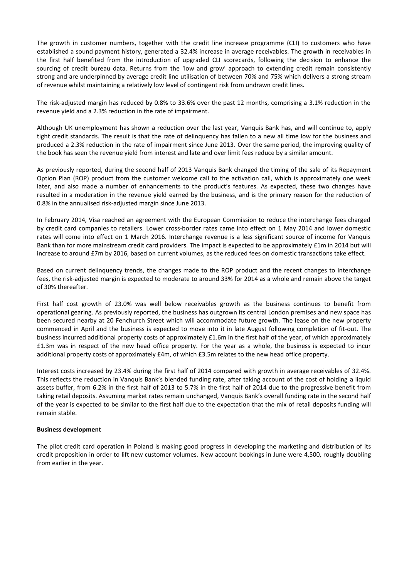The growth in customer numbers, together with the credit line increase programme (CLI) to customers who have established a sound payment history, generated a 32.4% increase in average receivables. The growth in receivables in the first half benefited from the introduction of upgraded CLI scorecards, following the decision to enhance the sourcing of credit bureau data. Returns from the 'low and grow' approach to extending credit remain consistently strong and are underpinned by average credit line utilisation of between 70% and 75% which delivers a strong stream of revenue whilst maintaining a relatively low level of contingent risk from undrawn credit lines.

The risk-adjusted margin has reduced by 0.8% to 33.6% over the past 12 months, comprising a 3.1% reduction in the revenue yield and a 2.3% reduction in the rate of impairment.

Although UK unemployment has shown a reduction over the last year, Vanquis Bank has, and will continue to, apply tight credit standards. The result is that the rate of delinquency has fallen to a new all time low for the business and produced a 2.3% reduction in the rate of impairment since June 2013. Over the same period, the improving quality of the book has seen the revenue yield from interest and late and over limit fees reduce by a similar amount.

As previously reported, during the second half of 2013 Vanquis Bank changed the timing of the sale of its Repayment Option Plan (ROP) product from the customer welcome call to the activation call, which is approximately one week later, and also made a number of enhancements to the product's features. As expected, these two changes have resulted in a moderation in the revenue yield earned by the business, and is the primary reason for the reduction of 0.8% in the annualised risk-adjusted margin since June 2013.

In February 2014, Visa reached an agreement with the European Commission to reduce the interchange fees charged by credit card companies to retailers. Lower cross-border rates came into effect on 1 May 2014 and lower domestic rates will come into effect on 1 March 2016. Interchange revenue is a less significant source of income for Vanquis Bank than for more mainstream credit card providers. The impact is expected to be approximately £1m in 2014 but will increase to around £7m by 2016, based on current volumes, as the reduced fees on domestic transactions take effect.

Based on current delinquency trends, the changes made to the ROP product and the recent changes to interchange fees, the risk-adjusted margin is expected to moderate to around 33% for 2014 as a whole and remain above the target of 30% thereafter.

First half cost growth of 23.0% was well below receivables growth as the business continues to benefit from operational gearing. As previously reported, the business has outgrown its central London premises and new space has been secured nearby at 20 Fenchurch Street which will accommodate future growth. The lease on the new property commenced in April and the business is expected to move into it in late August following completion of fit-out. The business incurred additional property costs of approximately £1.6m in the first half of the year, of which approximately £1.3m was in respect of the new head office property. For the year as a whole, the business is expected to incur additional property costs of approximately £4m, of which £3.5m relates to the new head office property.

Interest costs increased by 23.4% during the first half of 2014 compared with growth in average receivables of 32.4%. This reflects the reduction in Vanquis Bank's blended funding rate, after taking account of the cost of holding a liquid assets buffer, from 6.2% in the first half of 2013 to 5.7% in the first half of 2014 due to the progressive benefit from taking retail deposits. Assuming market rates remain unchanged, Vanquis Bank's overall funding rate in the second half of the year is expected to be similar to the first half due to the expectation that the mix of retail deposits funding will remain stable.

## **Business development**

The pilot credit card operation in Poland is making good progress in developing the marketing and distribution of its credit proposition in order to lift new customer volumes. New account bookings in June were 4,500, roughly doubling from earlier in the year.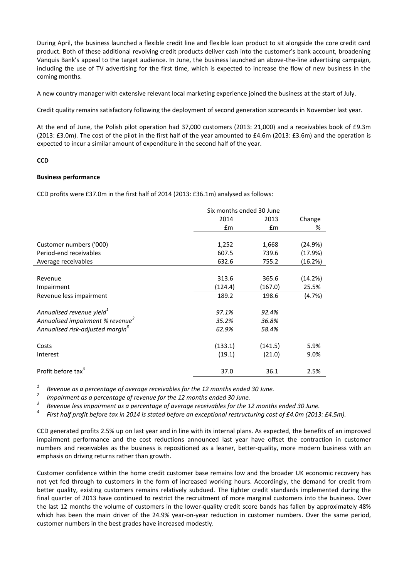During April, the business launched a flexible credit line and flexible loan product to sit alongside the core credit card product. Both of these additional revolving credit products deliver cash into the customer's bank account, broadening Vanquis Bank's appeal to the target audience. In June, the business launched an above-the-line advertising campaign, including the use of TV advertising for the first time, which is expected to increase the flow of new business in the coming months.

A new country manager with extensive relevant local marketing experience joined the business at the start of July.

Credit quality remains satisfactory following the deployment of second generation scorecards in November last year.

At the end of June, the Polish pilot operation had 37,000 customers (2013: 21,000) and a receivables book of £9.3m  $(2013: E3.0m)$ . The cost of the pilot in the first half of the year amounted to  $E4.6m$   $(2013: E3.6m)$  and the operation is expected to incur a similar amount of expenditure in the second half of the year.

## **CCD**

## **Business performance**

CCD profits were £37.0m in the first half of 2014 (2013: £36.1m) analysed as follows:

|                                              | Six months ended 30 June |               |         |
|----------------------------------------------|--------------------------|---------------|---------|
|                                              | 2014                     | 2013          |         |
|                                              | $\mathsf{fm}$            | $\mathsf{fm}$ | %       |
|                                              |                          |               |         |
| Customer numbers ('000)                      | 1,252                    | 1,668         | (24.9%) |
| Period-end receivables                       | 607.5                    | 739.6         | (17.9%) |
| Average receivables                          | 632.6                    | 755.2         | (16.2%) |
|                                              |                          |               |         |
| Revenue                                      | 313.6                    | 365.6         | (14.2%) |
| Impairment                                   | (124.4)                  | (167.0)       | 25.5%   |
| Revenue less impairment                      | 189.2                    | 198.6         | (4.7%)  |
| Annualised revenue yield <sup>1</sup>        | 97.1%                    | 92.4%         |         |
| Annualised impairment % revenue <sup>2</sup> | 35.2%                    | 36.8%         |         |
| Annualised risk-adjusted margin <sup>3</sup> | 62.9%                    | 58.4%         |         |
| Costs                                        | (133.1)                  | (141.5)       | 5.9%    |
| Interest                                     | (19.1)                   | (21.0)        | 9.0%    |
| Profit before tax <sup>4</sup>               | 37.0                     | 36.1          | 2.5%    |

*1 Revenue as a percentage of average receivables for the 12 months ended 30 June.*

*2 Impairment as a percentage of revenue for the 12 months ended 30 June.*

*3 Revenue less impairment as a percentage of average receivables for the 12 months ended 30 June.*

*4 First half profit before tax in 2014 is stated before an exceptional restructuring cost of £4.0m (2013: £4.5m).*

CCD generated profits 2.5% up on last year and in line with its internal plans. As expected, the benefits of an improved impairment performance and the cost reductions announced last year have offset the contraction in customer numbers and receivables as the business is repositioned as a leaner, better-quality, more modern business with an emphasis on driving returns rather than growth.

Customer confidence within the home credit customer base remains low and the broader UK economic recovery has not yet fed through to customers in the form of increased working hours. Accordingly, the demand for credit from better quality, existing customers remains relatively subdued. The tighter credit standards implemented during the final quarter of 2013 have continued to restrict the recruitment of more marginal customers into the business. Over the last 12 months the volume of customers in the lower-quality credit score bands has fallen by approximately 48% which has been the main driver of the 24.9% year-on-year reduction in customer numbers. Over the same period, customer numbers in the best grades have increased modestly.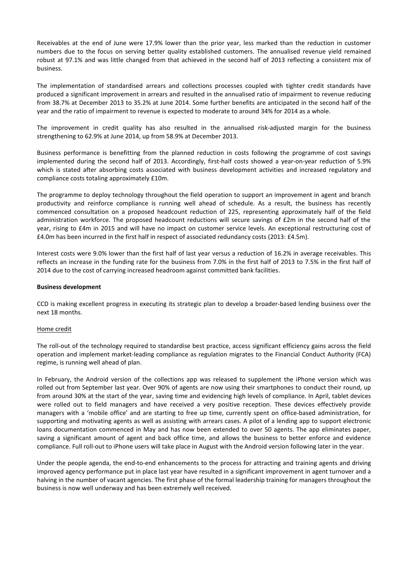Receivables at the end of June were 17.9% lower than the prior year, less marked than the reduction in customer numbers due to the focus on serving better quality established customers. The annualised revenue yield remained robust at 97.1% and was little changed from that achieved in the second half of 2013 reflecting a consistent mix of business.

The implementation of standardised arrears and collections processes coupled with tighter credit standards have produced a significant improvement in arrears and resulted in the annualised ratio of impairment to revenue reducing from 38.7% at December 2013 to 35.2% at June 2014. Some further benefits are anticipated in the second half of the year and the ratio of impairment to revenue is expected to moderate to around 34% for 2014 as a whole.

The improvement in credit quality has also resulted in the annualised risk-adjusted margin for the business strengthening to 62.9% at June 2014, up from 58.9% at December 2013.

Business performance is benefitting from the planned reduction in costs following the programme of cost savings implemented during the second half of 2013. Accordingly, first-half costs showed a year-on-year reduction of 5.9% which is stated after absorbing costs associated with business development activities and increased regulatory and compliance costs totaling approximately £10m.

The programme to deploy technology throughout the field operation to support an improvement in agent and branch productivity and reinforce compliance is running well ahead of schedule. As a result, the business has recently commenced consultation on a proposed headcount reduction of 225, representing approximately half of the field administration workforce. The proposed headcount reductions will secure savings of £2m in the second half of the year, rising to £4m in 2015 and will have no impact on customer service levels. An exceptional restructuring cost of £4.0m has been incurred in the first half in respect of associated redundancy costs (2013: £4.5m).

Interest costs were 9.0% lower than the first half of last year versus a reduction of 16.2% in average receivables. This reflects an increase in the funding rate for the business from 7.0% in the first half of 2013 to 7.5% in the first half of 2014 due to the cost of carrying increased headroom against committed bank facilities.

## **Business development**

CCD is making excellent progress in executing its strategic plan to develop a broader-based lending business over the next 18 months.

## Home credit

The roll-out of the technology required to standardise best practice, access significant efficiency gains across the field operation and implement market-leading compliance as regulation migrates to the Financial Conduct Authority (FCA) regime, is running well ahead of plan.

In February, the Android version of the collections app was released to supplement the iPhone version which was rolled out from September last year. Over 90% of agents are now using their smartphones to conduct their round, up from around 30% at the start of the year, saving time and evidencing high levels of compliance. In April, tablet devices were rolled out to field managers and have received a very positive reception. These devices effectively provide managers with a 'mobile office' and are starting to free up time, currently spent on office-based administration, for supporting and motivating agents as well as assisting with arrears cases. A pilot of a lending app to support electronic loans documentation commenced in May and has now been extended to over 50 agents. The app eliminates paper, saving a significant amount of agent and back office time, and allows the business to better enforce and evidence compliance. Full roll-out to iPhone users will take place in August with the Android version following later in the year.

Under the people agenda, the end-to-end enhancements to the process for attracting and training agents and driving improved agency performance put in place last year have resulted in a significant improvement in agent turnover and a halving in the number of vacant agencies. The first phase of the formal leadership training for managers throughout the business is now well underway and has been extremely well received.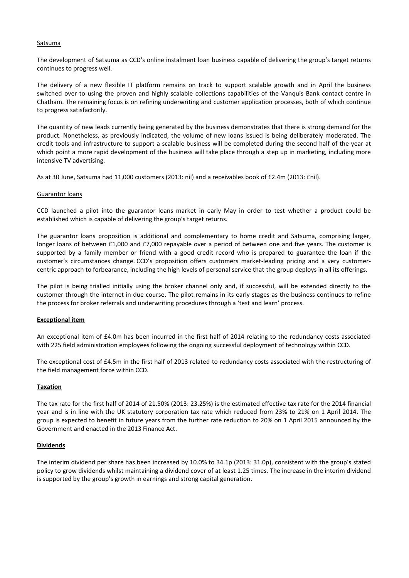## Satsuma

The development of Satsuma as CCD's online instalment loan business capable of delivering the group's target returns continues to progress well.

The delivery of a new flexible IT platform remains on track to support scalable growth and in April the business switched over to using the proven and highly scalable collections capabilities of the Vanquis Bank contact centre in Chatham. The remaining focus is on refining underwriting and customer application processes, both of which continue to progress satisfactorily.

The quantity of new leads currently being generated by the business demonstrates that there is strong demand for the product. Nonetheless, as previously indicated, the volume of new loans issued is being deliberately moderated. The credit tools and infrastructure to support a scalable business will be completed during the second half of the year at which point a more rapid development of the business will take place through a step up in marketing, including more intensive TV advertising.

As at 30 June, Satsuma had 11,000 customers (2013: nil) and a receivables book of £2.4m (2013: £nil).

## Guarantor loans

CCD launched a pilot into the guarantor loans market in early May in order to test whether a product could be established which is capable of delivering the group's target returns.

The guarantor loans proposition is additional and complementary to home credit and Satsuma, comprising larger, longer loans of between £1,000 and £7,000 repayable over a period of between one and five years. The customer is supported by a family member or friend with a good credit record who is prepared to guarantee the loan if the customer's circumstances change. CCD's proposition offers customers market-leading pricing and a very customercentric approach to forbearance, including the high levels of personal service that the group deploys in all its offerings.

The pilot is being trialled initially using the broker channel only and, if successful, will be extended directly to the customer through the internet in due course. The pilot remains in its early stages as the business continues to refine the process for broker referrals and underwriting procedures through a 'test and learn' process.

## **Exceptional item**

An exceptional item of £4.0m has been incurred in the first half of 2014 relating to the redundancy costs associated with 225 field administration employees following the ongoing successful deployment of technology within CCD.

The exceptional cost of £4.5m in the first half of 2013 related to redundancy costs associated with the restructuring of the field management force within CCD.

# **Taxation**

The tax rate for the first half of 2014 of 21.50% (2013: 23.25%) is the estimated effective tax rate for the 2014 financial year and is in line with the UK statutory corporation tax rate which reduced from 23% to 21% on 1 April 2014. The group is expected to benefit in future years from the further rate reduction to 20% on 1 April 2015 announced by the Government and enacted in the 2013 Finance Act.

# **Dividends**

The interim dividend per share has been increased by 10.0% to 34.1p (2013: 31.0p), consistent with the group's stated policy to grow dividends whilst maintaining a dividend cover of at least 1.25 times. The increase in the interim dividend is supported by the group's growth in earnings and strong capital generation.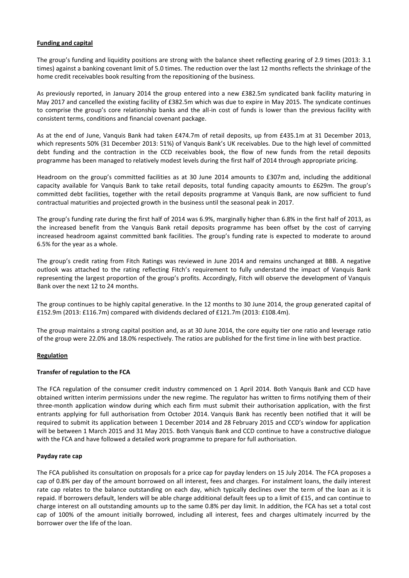# **Funding and capital**

The group's funding and liquidity positions are strong with the balance sheet reflecting gearing of 2.9 times (2013: 3.1 times) against a banking covenant limit of 5.0 times. The reduction over the last 12 months reflects the shrinkage of the home credit receivables book resulting from the repositioning of the business.

As previously reported, in January 2014 the group entered into a new £382.5m syndicated bank facility maturing in May 2017 and cancelled the existing facility of £382.5m which was due to expire in May 2015. The syndicate continues to comprise the group's core relationship banks and the all-in cost of funds is lower than the previous facility with consistent terms, conditions and financial covenant package.

As at the end of June, Vanquis Bank had taken £474.7m of retail deposits, up from £435.1m at 31 December 2013, which represents 50% (31 December 2013: 51%) of Vanquis Bank's UK receivables. Due to the high level of committed debt funding and the contraction in the CCD receivables book, the flow of new funds from the retail deposits programme has been managed to relatively modest levels during the first half of 2014 through appropriate pricing.

Headroom on the group's committed facilities as at 30 June 2014 amounts to £307m and, including the additional capacity available for Vanquis Bank to take retail deposits, total funding capacity amounts to £629m. The group's committed debt facilities, together with the retail deposits programme at Vanquis Bank, are now sufficient to fund contractual maturities and projected growth in the business until the seasonal peak in 2017.

The group's funding rate during the first half of 2014 was 6.9%, marginally higher than 6.8% in the first half of 2013, as the increased benefit from the Vanquis Bank retail deposits programme has been offset by the cost of carrying increased headroom against committed bank facilities. The group's funding rate is expected to moderate to around 6.5% for the year as a whole.

The group's credit rating from Fitch Ratings was reviewed in June 2014 and remains unchanged at BBB. A negative outlook was attached to the rating reflecting Fitch's requirement to fully understand the impact of Vanquis Bank representing the largest proportion of the group's profits. Accordingly, Fitch will observe the development of Vanquis Bank over the next 12 to 24 months.

The group continues to be highly capital generative. In the 12 months to 30 June 2014, the group generated capital of £152.9m (2013: £116.7m) compared with dividends declared of £121.7m (2013: £108.4m).

The group maintains a strong capital position and, as at 30 June 2014, the core equity tier one ratio and leverage ratio of the group were 22.0% and 18.0% respectively. The ratios are published for the first time in line with best practice.

# **Regulation**

# **Transfer of regulation to the FCA**

The FCA regulation of the consumer credit industry commenced on 1 April 2014. Both Vanquis Bank and CCD have obtained written interim permissions under the new regime. The regulator has written to firms notifying them of their three-month application window during which each firm must submit their authorisation application, with the first entrants applying for full authorisation from October 2014. Vanquis Bank has recently been notified that it will be required to submit its application between 1 December 2014 and 28 February 2015 and CCD's window for application will be between 1 March 2015 and 31 May 2015. Both Vanquis Bank and CCD continue to have a constructive dialogue with the FCA and have followed a detailed work programme to prepare for full authorisation.

# **Payday rate cap**

The FCA published its consultation on proposals for a price cap for payday lenders on 15 July 2014. The FCA proposes a cap of 0.8% per day of the amount borrowed on all interest, fees and charges. For instalment loans, the daily interest rate cap relates to the balance outstanding on each day, which typically declines over the term of the loan as it is repaid. If borrowers default, lenders will be able charge additional default fees up to a limit of £15, and can continue to charge interest on all outstanding amounts up to the same 0.8% per day limit. In addition, the FCA has set a total cost cap of 100% of the amount initially borrowed, including all interest, fees and charges ultimately incurred by the borrower over the life of the loan.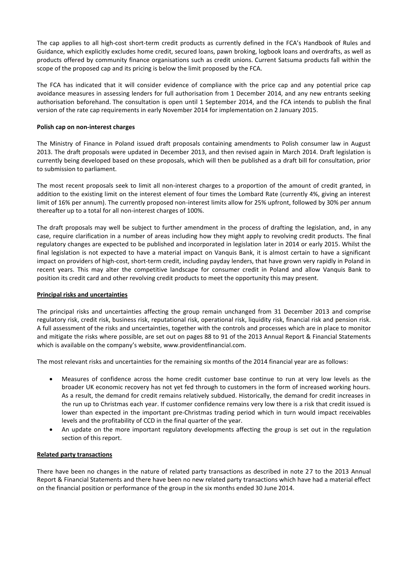The cap applies to all high-cost short-term credit products as currently defined in the FCA's Handbook of Rules and Guidance, which explicitly excludes home credit, secured loans, pawn broking, logbook loans and overdrafts, as well as products offered by community finance organisations such as credit unions. Current Satsuma products fall within the scope of the proposed cap and its pricing is below the limit proposed by the FCA.

The FCA has indicated that it will consider evidence of compliance with the price cap and any potential price cap avoidance measures in assessing lenders for full authorisation from 1 December 2014, and any new entrants seeking authorisation beforehand. The consultation is open until 1 September 2014, and the FCA intends to publish the final version of the rate cap requirements in early November 2014 for implementation on 2 January 2015.

# **Polish cap on non-interest charges**

The Ministry of Finance in Poland issued draft proposals containing amendments to Polish consumer law in August 2013. The draft proposals were updated in December 2013, and then revised again in March 2014. Draft legislation is currently being developed based on these proposals, which will then be published as a draft bill for consultation, prior to submission to parliament.

The most recent proposals seek to limit all non-interest charges to a proportion of the amount of credit granted, in addition to the existing limit on the interest element of four times the Lombard Rate (currently 4%, giving an interest limit of 16% per annum). The currently proposed non-interest limits allow for 25% upfront, followed by 30% per annum thereafter up to a total for all non-interest charges of 100%.

The draft proposals may well be subject to further amendment in the process of drafting the legislation, and, in any case, require clarification in a number of areas including how they might apply to revolving credit products. The final regulatory changes are expected to be published and incorporated in legislation later in 2014 or early 2015. Whilst the final legislation is not expected to have a material impact on Vanquis Bank, it is almost certain to have a significant impact on providers of high-cost, short-term credit, including payday lenders, that have grown very rapidly in Poland in recent years. This may alter the competitive landscape for consumer credit in Poland and allow Vanquis Bank to position its credit card and other revolving credit products to meet the opportunity this may present.

# **Principal risks and uncertainties**

The principal risks and uncertainties affecting the group remain unchanged from 31 December 2013 and comprise regulatory risk, credit risk, business risk, reputational risk, operational risk, liquidity risk, financial risk and pension risk. A full assessment of the risks and uncertainties, together with the controls and processes which are in place to monitor and mitigate the risks where possible, are set out on pages 88 to 91 of the 2013 Annual Report & Financial Statements which is available on the company's website, www.providentfinancial.com.

The most relevant risks and uncertainties for the remaining six months of the 2014 financial year are as follows:

- Measures of confidence across the home credit customer base continue to run at very low levels as the broader UK economic recovery has not yet fed through to customers in the form of increased working hours. As a result, the demand for credit remains relatively subdued. Historically, the demand for credit increases in the run up to Christmas each year. If customer confidence remains very low there is a risk that credit issued is lower than expected in the important pre-Christmas trading period which in turn would impact receivables levels and the profitability of CCD in the final quarter of the year.
- An update on the more important regulatory developments affecting the group is set out in the regulation section of this report.

# **Related party transactions**

There have been no changes in the nature of related party transactions as described in note 27 to the 2013 Annual Report & Financial Statements and there have been no new related party transactions which have had a material effect on the financial position or performance of the group in the six months ended 30 June 2014.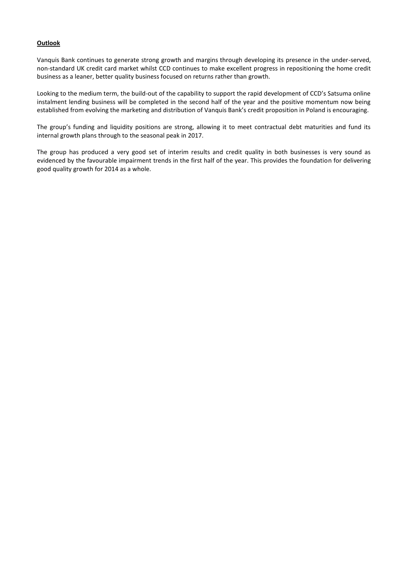# **Outlook**

Vanquis Bank continues to generate strong growth and margins through developing its presence in the under-served, non-standard UK credit card market whilst CCD continues to make excellent progress in repositioning the home credit business as a leaner, better quality business focused on returns rather than growth.

Looking to the medium term, the build-out of the capability to support the rapid development of CCD's Satsuma online instalment lending business will be completed in the second half of the year and the positive momentum now being established from evolving the marketing and distribution of Vanquis Bank's credit proposition in Poland is encouraging.

The group's funding and liquidity positions are strong, allowing it to meet contractual debt maturities and fund its internal growth plans through to the seasonal peak in 2017.

The group has produced a very good set of interim results and credit quality in both businesses is very sound as evidenced by the favourable impairment trends in the first half of the year. This provides the foundation for delivering good quality growth for 2014 as a whole.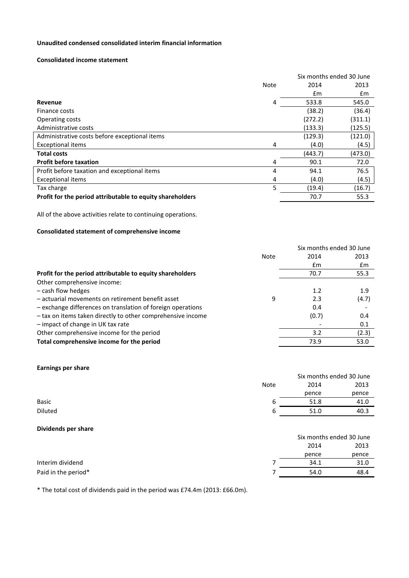# **Unaudited condensed consolidated interim financial information**

## **Consolidated income statement**

|                                                           |      | Six months ended 30 June |         |  |
|-----------------------------------------------------------|------|--------------------------|---------|--|
|                                                           | Note | 2014                     | 2013    |  |
|                                                           |      | £m                       | £m      |  |
| Revenue                                                   | 4    | 533.8                    | 545.0   |  |
| Finance costs                                             |      | (38.2)                   | (36.4)  |  |
| Operating costs                                           |      | (272.2)                  | (311.1) |  |
| Administrative costs                                      |      | (133.3)                  | (125.5) |  |
| Administrative costs before exceptional items             |      | (129.3)                  | (121.0) |  |
| <b>Exceptional items</b>                                  | 4    | (4.0)                    | (4.5)   |  |
| <b>Total costs</b>                                        |      | (443.7)                  | (473.0) |  |
| <b>Profit before taxation</b>                             | 4    | 90.1                     | 72.0    |  |
| Profit before taxation and exceptional items              | 4    | 94.1                     | 76.5    |  |
| <b>Exceptional items</b>                                  | 4    | (4.0)                    | (4.5)   |  |
| Tax charge                                                | 5    | (19.4)                   | (16.7)  |  |
| Profit for the period attributable to equity shareholders |      | 70.7                     | 55.3    |  |

All of the above activities relate to continuing operations.

# **Consolidated statement of comprehensive income**

|                                                             |      | Six months ended 30 June |       |
|-------------------------------------------------------------|------|--------------------------|-------|
|                                                             | Note | 2014                     | 2013  |
|                                                             |      | £m                       | £m    |
| Profit for the period attributable to equity shareholders   |      | 70.7                     | 55.3  |
| Other comprehensive income:                                 |      |                          |       |
| - cash flow hedges                                          |      | 1.2                      | 1.9   |
| - actuarial movements on retirement benefit asset           | 9    | 2.3                      | (4.7) |
| - exchange differences on translation of foreign operations |      | 0.4                      |       |
| - tax on items taken directly to other comprehensive income |      | (0.7)                    | 0.4   |
| - impact of change in UK tax rate                           |      |                          | 0.1   |
| Other comprehensive income for the period                   |      | 3.2                      | (2.3) |
| Total comprehensive income for the period                   |      | 73.9                     | 53.0  |

## **Earnings per share**

|              |             |       | Six months ended 30 June |
|--------------|-------------|-------|--------------------------|
|              | <b>Note</b> | 2014  | 2013                     |
|              |             | pence | pence                    |
| <b>Basic</b> | b           | 51.8  | 41.0                     |
| Diluted      | b           | 51.0  | 40.3                     |
|              |             |       |                          |

# **Dividends per share**

|                     | Six months ended 30 June |       |  |
|---------------------|--------------------------|-------|--|
|                     | 2014                     | 2013  |  |
|                     | pence                    | pence |  |
| Interim dividend    | 34.1                     | 31.0  |  |
| Paid in the period* | 54.0                     | 48.4  |  |

\* The total cost of dividends paid in the period was £74.4m (2013: £66.0m).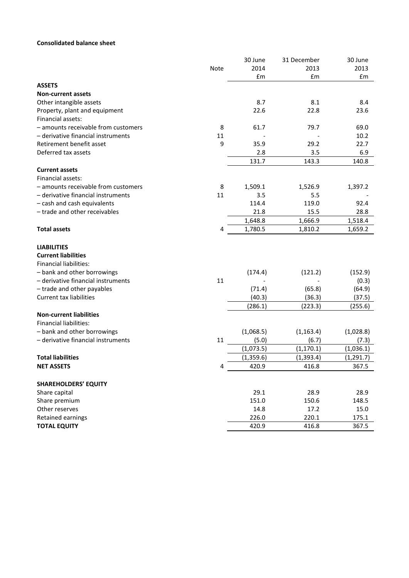# **Consolidated balance sheet**

|                                     |      | 30 June   | 31 December | 30 June    |
|-------------------------------------|------|-----------|-------------|------------|
|                                     | Note | 2014      | 2013        | 2013       |
|                                     |      | £m        | £m          | £m         |
| <b>ASSETS</b>                       |      |           |             |            |
| <b>Non-current assets</b>           |      |           |             |            |
| Other intangible assets             |      | 8.7       | 8.1         | 8.4        |
| Property, plant and equipment       |      | 22.6      | 22.8        | 23.6       |
| Financial assets:                   |      |           |             |            |
| - amounts receivable from customers | 8    | 61.7      | 79.7        | 69.0       |
| - derivative financial instruments  | 11   |           |             | 10.2       |
| Retirement benefit asset            | 9    | 35.9      | 29.2        | 22.7       |
| Deferred tax assets                 |      | 2.8       | 3.5         | 6.9        |
|                                     |      | 131.7     | 143.3       | 140.8      |
| <b>Current assets</b>               |      |           |             |            |
| Financial assets:                   |      |           |             |            |
| - amounts receivable from customers | 8    | 1,509.1   | 1,526.9     | 1,397.2    |
| - derivative financial instruments  | 11   | 3.5       | 5.5         |            |
| - cash and cash equivalents         |      | 114.4     | 119.0       | 92.4       |
| - trade and other receivables       |      | 21.8      | 15.5        | 28.8       |
|                                     |      | 1,648.8   | 1,666.9     | 1,518.4    |
| <b>Total assets</b>                 | 4    | 1,780.5   | 1,810.2     | 1,659.2    |
| <b>LIABILITIES</b>                  |      |           |             |            |
| <b>Current liabilities</b>          |      |           |             |            |
| <b>Financial liabilities:</b>       |      |           |             |            |
| - bank and other borrowings         |      | (174.4)   | (121.2)     | (152.9)    |
| - derivative financial instruments  | 11   |           |             | (0.3)      |
| - trade and other payables          |      | (71.4)    | (65.8)      | (64.9)     |
| <b>Current tax liabilities</b>      |      | (40.3)    | (36.3)      | (37.5)     |
|                                     |      | (286.1)   | (223.3)     | (255.6)    |
| <b>Non-current liabilities</b>      |      |           |             |            |
| <b>Financial liabilities:</b>       |      |           |             |            |
| - bank and other borrowings         |      | (1,068.5) | (1, 163.4)  | (1,028.8)  |
| - derivative financial instruments  | 11   | (5.0)     | (6.7)       | (7.3)      |
|                                     |      | (1,073.5) | (1, 170.1)  | (1,036.1)  |
| <b>Total liabilities</b>            |      | (1,359.6) | (1, 393.4)  | (1, 291.7) |
| <b>NET ASSETS</b>                   | 4    | 420.9     | 416.8       | 367.5      |
|                                     |      |           |             |            |
| <b>SHAREHOLDERS' EQUITY</b>         |      |           |             |            |
| Share capital                       |      | 29.1      | 28.9        | 28.9       |
| Share premium                       |      | 151.0     | 150.6       | 148.5      |
| Other reserves                      |      | 14.8      | 17.2        | 15.0       |
| Retained earnings                   |      | 226.0     | 220.1       | 175.1      |
| <b>TOTAL EQUITY</b>                 |      | 420.9     | 416.8       | 367.5      |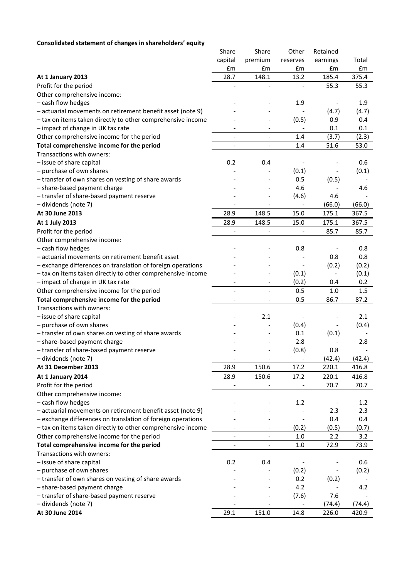# **Consolidated statement of changes in shareholders' equity**

|                                                             | Share                        | Share                    | Other                    | Retained                 |             |
|-------------------------------------------------------------|------------------------------|--------------------------|--------------------------|--------------------------|-------------|
|                                                             | capital<br>£m                | premium<br>£m            | reserves<br>£m           | earnings<br>£m           | Total<br>£m |
|                                                             |                              |                          | 13.2                     |                          |             |
| At 1 January 2013                                           | 28.7                         | 148.1                    |                          | 185.4                    | 375.4       |
| Profit for the period                                       | $\overline{\phantom{a}}$     |                          |                          | 55.3                     | 55.3        |
| Other comprehensive income:                                 |                              |                          |                          |                          |             |
| - cash flow hedges                                          |                              |                          | 1.9                      |                          | 1.9         |
| - actuarial movements on retirement benefit asset (note 9)  |                              |                          |                          | (4.7)                    | (4.7)       |
| - tax on items taken directly to other comprehensive income |                              |                          | (0.5)                    | 0.9<br>0.1               | 0.4         |
| - impact of change in UK tax rate                           |                              |                          |                          |                          | 0.1         |
| Other comprehensive income for the period                   | $\overline{\phantom{a}}$     | $\overline{\phantom{a}}$ | 1.4                      | (3.7)                    | (2.3)       |
| Total comprehensive income for the period                   | $\overline{\phantom{a}}$     | $\overline{\phantom{a}}$ | 1.4                      | 51.6                     | 53.0        |
| Transactions with owners:                                   |                              |                          |                          |                          |             |
| - issue of share capital                                    | 0.2                          | 0.4                      |                          |                          | 0.6         |
| - purchase of own shares                                    |                              |                          | (0.1)                    | $\overline{\phantom{a}}$ | (0.1)       |
| - transfer of own shares on vesting of share awards         |                              |                          | 0.5                      | (0.5)                    |             |
| - share-based payment charge                                |                              |                          | 4.6                      |                          | 4.6         |
| - transfer of share-based payment reserve                   |                              |                          | (4.6)                    | 4.6                      |             |
| - dividends (note 7)                                        |                              |                          |                          | (66.0)                   | (66.0)      |
| At 30 June 2013                                             | 28.9                         | 148.5                    | 15.0                     | 175.1                    | 367.5       |
| At 1 July 2013                                              | 28.9                         | 148.5                    | 15.0                     | 175.1                    | 367.5       |
| Profit for the period                                       |                              | $\blacksquare$           | $\blacksquare$           | 85.7                     | 85.7        |
| Other comprehensive income:                                 |                              |                          |                          |                          |             |
| - cash flow hedges                                          |                              |                          | 0.8                      |                          | 0.8         |
| - actuarial movements on retirement benefit asset           |                              |                          |                          | 0.8                      | 0.8         |
| - exchange differences on translation of foreign operations |                              |                          |                          | (0.2)                    | (0.2)       |
| - tax on items taken directly to other comprehensive income |                              |                          | (0.1)                    | $\overline{\phantom{a}}$ | (0.1)       |
| - impact of change in UK tax rate                           |                              |                          | (0.2)                    | 0.4                      | 0.2         |
| Other comprehensive income for the period                   |                              |                          | 0.5                      | 1.0                      | 1.5         |
| Total comprehensive income for the period                   | $\overline{\phantom{a}}$     |                          | 0.5                      | 86.7                     | 87.2        |
| Transactions with owners:                                   |                              |                          |                          |                          |             |
| - issue of share capital                                    |                              | 2.1                      |                          |                          | 2.1         |
| - purchase of own shares                                    |                              |                          | (0.4)                    |                          | (0.4)       |
| - transfer of own shares on vesting of share awards         |                              |                          | 0.1                      | (0.1)                    |             |
| - share-based payment charge                                |                              |                          | 2.8                      |                          | 2.8         |
| - transfer of share-based payment reserve                   |                              |                          | (0.8)                    | 0.8                      |             |
| - dividends (note 7)                                        |                              |                          | $\overline{\phantom{a}}$ | (42.4)                   | (42.4)      |
| At 31 December 2013                                         | 28.9                         | 150.6                    | 17.2                     | 220.1                    | 416.8       |
| At 1 January 2014                                           | 28.9                         | 150.6                    | 17.2                     | 220.1                    | 416.8       |
| Profit for the period                                       |                              |                          |                          | 70.7                     | 70.7        |
| Other comprehensive income:                                 |                              |                          |                          |                          |             |
| - cash flow hedges                                          |                              |                          | 1.2                      |                          | 1.2         |
| - actuarial movements on retirement benefit asset (note 9)  |                              |                          |                          | 2.3                      | 2.3         |
| - exchange differences on translation of foreign operations |                              |                          |                          | 0.4                      | 0.4         |
| - tax on items taken directly to other comprehensive income |                              | $\overline{\phantom{a}}$ | (0.2)                    | (0.5)                    | (0.7)       |
| Other comprehensive income for the period                   |                              | $\overline{\phantom{a}}$ | $1.0\,$                  | 2.2                      | 3.2         |
| Total comprehensive income for the period                   | $\qquad \qquad \blacksquare$ | $\qquad \qquad -$        | 1.0                      | 72.9                     | 73.9        |
| Transactions with owners:                                   |                              |                          |                          |                          |             |
| - issue of share capital                                    | 0.2                          | 0.4                      |                          |                          | 0.6         |
| - purchase of own shares                                    |                              |                          | (0.2)                    |                          | (0.2)       |
| - transfer of own shares on vesting of share awards         |                              |                          | 0.2                      | (0.2)                    |             |
| - share-based payment charge                                |                              |                          | 4.2                      |                          | 4.2         |
| - transfer of share-based payment reserve                   |                              |                          | (7.6)                    | 7.6                      |             |
| - dividends (note 7)                                        |                              |                          | $\overline{\phantom{a}}$ | (74.4)                   | (74.4)      |
| At 30 June 2014                                             | 29.1                         | 151.0                    | 14.8                     | 226.0                    | 420.9       |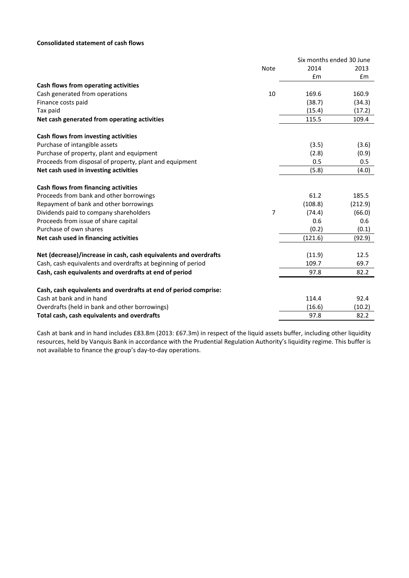# **Consolidated statement of cash flows**

|                                                                  |             | Six months ended 30 June |         |
|------------------------------------------------------------------|-------------|--------------------------|---------|
|                                                                  | <b>Note</b> | 2014                     | 2013    |
|                                                                  |             | £m                       | £m      |
| Cash flows from operating activities                             |             |                          |         |
| Cash generated from operations                                   | 10          | 169.6                    | 160.9   |
| Finance costs paid                                               |             | (38.7)                   | (34.3)  |
| Tax paid                                                         |             | (15.4)                   | (17.2)  |
| Net cash generated from operating activities                     |             | 115.5                    | 109.4   |
| Cash flows from investing activities                             |             |                          |         |
| Purchase of intangible assets                                    |             | (3.5)                    | (3.6)   |
| Purchase of property, plant and equipment                        |             | (2.8)                    | (0.9)   |
| Proceeds from disposal of property, plant and equipment          |             | 0.5                      | 0.5     |
| Net cash used in investing activities                            |             | (5.8)                    | (4.0)   |
| Cash flows from financing activities                             |             |                          |         |
| Proceeds from bank and other borrowings                          |             | 61.2                     | 185.5   |
| Repayment of bank and other borrowings                           |             | (108.8)                  | (212.9) |
| Dividends paid to company shareholders                           | 7           | (74.4)                   | (66.0)  |
| Proceeds from issue of share capital                             |             | 0.6                      | 0.6     |
| Purchase of own shares                                           |             | (0.2)                    | (0.1)   |
| Net cash used in financing activities                            |             | (121.6)                  | (92.9)  |
| Net (decrease)/increase in cash, cash equivalents and overdrafts |             | (11.9)                   | 12.5    |
| Cash, cash equivalents and overdrafts at beginning of period     |             | 109.7                    | 69.7    |
| Cash, cash equivalents and overdrafts at end of period           |             | 97.8                     | 82.2    |
| Cash, cash equivalents and overdrafts at end of period comprise: |             |                          |         |
| Cash at bank and in hand                                         |             | 114.4                    | 92.4    |
| Overdrafts (held in bank and other borrowings)                   |             | (16.6)                   | (10.2)  |
| Total cash, cash equivalents and overdrafts                      |             | 97.8                     | 82.2    |

Cash at bank and in hand includes £83.8m (2013: £67.3m) in respect of the liquid assets buffer, including other liquidity resources, held by Vanquis Bank in accordance with the Prudential Regulation Authority's liquidity regime. This buffer is not available to finance the group's day-to-day operations.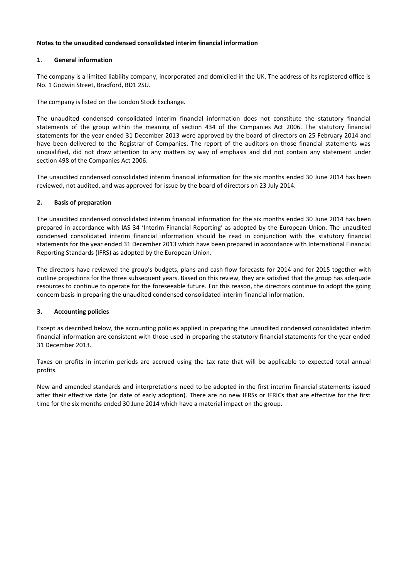# **Notes to the unaudited condensed consolidated interim financial information**

# **1**. **General information**

The company is a limited liability company, incorporated and domiciled in the UK. The address of its registered office is No. 1 Godwin Street, Bradford, BD1 2SU.

The company is listed on the London Stock Exchange.

The unaudited condensed consolidated interim financial information does not constitute the statutory financial statements of the group within the meaning of section 434 of the Companies Act 2006. The statutory financial statements for the year ended 31 December 2013 were approved by the board of directors on 25 February 2014 and have been delivered to the Registrar of Companies. The report of the auditors on those financial statements was unqualified, did not draw attention to any matters by way of emphasis and did not contain any statement under section 498 of the Companies Act 2006.

The unaudited condensed consolidated interim financial information for the six months ended 30 June 2014 has been reviewed, not audited, and was approved for issue by the board of directors on 23 July 2014.

# **2. Basis of preparation**

The unaudited condensed consolidated interim financial information for the six months ended 30 June 2014 has been prepared in accordance with IAS 34 'Interim Financial Reporting' as adopted by the European Union. The unaudited condensed consolidated interim financial information should be read in conjunction with the statutory financial statements for the year ended 31 December 2013 which have been prepared in accordance with International Financial Reporting Standards (IFRS) as adopted by the European Union.

The directors have reviewed the group's budgets, plans and cash flow forecasts for 2014 and for 2015 together with outline projections for the three subsequent years. Based on this review, they are satisfied that the group has adequate resources to continue to operate for the foreseeable future. For this reason, the directors continue to adopt the going concern basis in preparing the unaudited condensed consolidated interim financial information.

# **3. Accounting policies**

Except as described below, the accounting policies applied in preparing the unaudited condensed consolidated interim financial information are consistent with those used in preparing the statutory financial statements for the year ended 31 December 2013.

Taxes on profits in interim periods are accrued using the tax rate that will be applicable to expected total annual profits.

New and amended standards and interpretations need to be adopted in the first interim financial statements issued after their effective date (or date of early adoption). There are no new IFRSs or IFRICs that are effective for the first time for the six months ended 30 June 2014 which have a material impact on the group.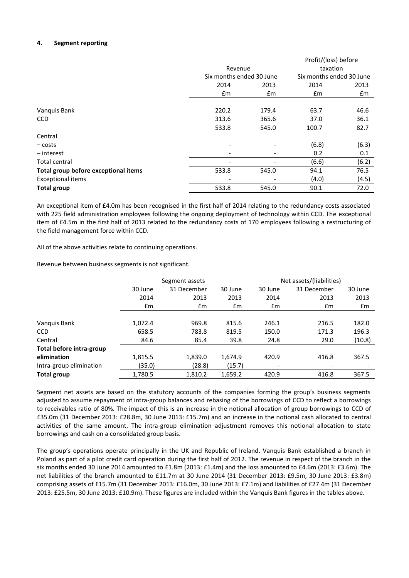# **4. Segment reporting**

|                                      |                          |       | Profit/(loss) before                 |       |  |
|--------------------------------------|--------------------------|-------|--------------------------------------|-------|--|
|                                      | Revenue                  |       | taxation<br>Six months ended 30 June |       |  |
|                                      | Six months ended 30 June |       |                                      |       |  |
|                                      | 2014                     | 2013  | 2014                                 | 2013  |  |
|                                      | £m                       | £m    | £m                                   | £m    |  |
|                                      |                          |       |                                      |       |  |
| Vanquis Bank                         | 220.2                    | 179.4 | 63.7                                 | 46.6  |  |
| <b>CCD</b>                           | 313.6                    | 365.6 | 37.0                                 | 36.1  |  |
|                                      | 533.8                    | 545.0 | 100.7                                | 82.7  |  |
| Central                              |                          |       |                                      |       |  |
| – costs                              |                          |       | (6.8)                                | (6.3) |  |
| $-$ interest                         |                          |       | 0.2                                  | 0.1   |  |
| Total central                        |                          |       | (6.6)                                | (6.2) |  |
| Total group before exceptional items | 533.8                    | 545.0 | 94.1                                 | 76.5  |  |
| <b>Exceptional items</b>             |                          |       | (4.0)                                | (4.5) |  |
| <b>Total group</b>                   | 533.8                    | 545.0 | 90.1                                 | 72.0  |  |

An exceptional item of £4.0m has been recognised in the first half of 2014 relating to the redundancy costs associated with 225 field administration employees following the ongoing deployment of technology within CCD. The exceptional item of £4.5m in the first half of 2013 related to the redundancy costs of 170 employees following a restructuring of the field management force within CCD.

All of the above activities relate to continuing operations.

Revenue between business segments is not significant.

|                          | Segment assets |             |         | Net assets/(liabilities) |             |         |  |
|--------------------------|----------------|-------------|---------|--------------------------|-------------|---------|--|
|                          | 30 June        | 31 December | 30 June | 30 June                  | 31 December | 30 June |  |
|                          | 2014           | 2013        | 2013    | 2014                     | 2013        | 2013    |  |
|                          | £m             | £m          | £m      | £m                       | £m          | £m      |  |
|                          |                |             |         |                          |             |         |  |
| Vanquis Bank             | 1,072.4        | 969.8       | 815.6   | 246.1                    | 216.5       | 182.0   |  |
| <b>CCD</b>               | 658.5          | 783.8       | 819.5   | 150.0                    | 171.3       | 196.3   |  |
| Central                  | 84.6           | 85.4        | 39.8    | 24.8                     | 29.0        | (10.8)  |  |
| Total before intra-group |                |             |         |                          |             |         |  |
| elimination              | 1,815.5        | 1,839.0     | 1,674.9 | 420.9                    | 416.8       | 367.5   |  |
| Intra-group elimination  | (35.0)         | (28.8)      | (15.7)  | $\overline{\phantom{0}}$ |             |         |  |
| <b>Total group</b>       | 1,780.5        | 1,810.2     | 1,659.2 | 420.9                    | 416.8       | 367.5   |  |

Segment net assets are based on the statutory accounts of the companies forming the group's business segments adjusted to assume repayment of intra-group balances and rebasing of the borrowings of CCD to reflect a borrowings to receivables ratio of 80%. The impact of this is an increase in the notional allocation of group borrowings to CCD of £35.0m (31 December 2013: £28.8m, 30 June 2013: £15.7m) and an increase in the notional cash allocated to central activities of the same amount. The intra-group elimination adjustment removes this notional allocation to state borrowings and cash on a consolidated group basis.

The group's operations operate principally in the UK and Republic of Ireland. Vanquis Bank established a branch in Poland as part of a pilot credit card operation during the first half of 2012. The revenue in respect of the branch in the six months ended 30 June 2014 amounted to £1.8m (2013: £1.4m) and the loss amounted to £4.6m (2013: £3.6m). The net liabilities of the branch amounted to £11.7m at 30 June 2014 (31 December 2013: £9.5m, 30 June 2013: £3.8m) comprising assets of £15.7m (31 December 2013: £16.0m, 30 June 2013: £7.1m) and liabilities of £27.4m (31 December 2013: £25.5m, 30 June 2013: £10.9m). These figures are included within the Vanquis Bank figures in the tables above.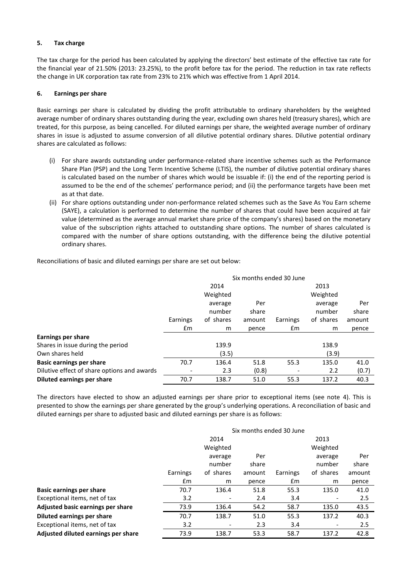# **5. Tax charge**

The tax charge for the period has been calculated by applying the directors' best estimate of the effective tax rate for the financial year of 21.50% (2013: 23.25%), to the profit before tax for the period. The reduction in tax rate reflects the change in UK corporation tax rate from 23% to 21% which was effective from 1 April 2014.

## **6. Earnings per share**

Basic earnings per share is calculated by dividing the profit attributable to ordinary shareholders by the weighted average number of ordinary shares outstanding during the year, excluding own shares held (treasury shares), which are treated, for this purpose, as being cancelled. For diluted earnings per share, the weighted average number of ordinary shares in issue is adjusted to assume conversion of all dilutive potential ordinary shares. Dilutive potential ordinary shares are calculated as follows:

- (i) For share awards outstanding under performance-related share incentive schemes such as the Performance Share Plan (PSP) and the Long Term Incentive Scheme (LTIS), the number of dilutive potential ordinary shares is calculated based on the number of shares which would be issuable if: (i) the end of the reporting period is assumed to be the end of the schemes' performance period; and (ii) the performance targets have been met as at that date.
- (ii) For share options outstanding under non-performance related schemes such as the Save As You Earn scheme (SAYE), a calculation is performed to determine the number of shares that could have been acquired at fair value (determined as the average annual market share price of the company's shares) based on the monetary value of the subscription rights attached to outstanding share options. The number of shares calculated is compared with the number of share options outstanding, with the difference being the dilutive potential ordinary shares.

Reconciliations of basic and diluted earnings per share are set out below:

|                                             | Six months ended 30 June        |          |       |                       |         |        |
|---------------------------------------------|---------------------------------|----------|-------|-----------------------|---------|--------|
|                                             |                                 | 2014     |       | 2013                  |         |        |
|                                             |                                 | Weighted |       | Weighted              |         |        |
|                                             |                                 | average  | Per   |                       | average | Per    |
|                                             |                                 | number   | share |                       | number  | share  |
|                                             | Earnings<br>of shares<br>amount |          |       | of shares<br>Earnings |         | amount |
|                                             | £m                              | m        | pence | $\mathsf{fm}$         | m       | pence  |
| <b>Earnings per share</b>                   |                                 |          |       |                       |         |        |
| Shares in issue during the period           |                                 | 139.9    |       |                       | 138.9   |        |
| Own shares held                             |                                 | (3.5)    |       |                       | (3.9)   |        |
| Basic earnings per share                    | 70.7                            | 136.4    | 51.8  | 55.3                  | 135.0   | 41.0   |
| Dilutive effect of share options and awards |                                 | 2.3      | (0.8) |                       | 2.2     | (0.7)  |
| Diluted earnings per share                  | 70.7                            | 138.7    | 51.0  | 55.3                  | 137.2   | 40.3   |

The directors have elected to show an adjusted earnings per share prior to exceptional items (see note 4). This is presented to show the earnings per share generated by the group's underlying operations. A reconciliation of basic and diluted earnings per share to adjusted basic and diluted earnings per share is as follows:

|                                     | Six months ended 30 June |           |        |          |                              |        |
|-------------------------------------|--------------------------|-----------|--------|----------|------------------------------|--------|
|                                     | 2014                     |           |        | 2013     |                              |        |
|                                     |                          | Weighted  |        |          | Weighted                     |        |
|                                     |                          | average   | Per    |          | average                      | Per    |
|                                     |                          | number    | share  |          | number                       | share  |
|                                     | Earnings                 | of shares | amount | Earnings | of shares                    | amount |
|                                     | £m                       | m         | pence  | £m       | m                            | pence  |
| <b>Basic earnings per share</b>     | 70.7                     | 136.4     | 51.8   | 55.3     | 135.0                        | 41.0   |
| Exceptional items, net of tax       | 3.2                      |           | 2.4    | 3.4      |                              | 2.5    |
| Adjusted basic earnings per share   | 73.9                     | 136.4     | 54.2   | 58.7     | 135.0                        | 43.5   |
| Diluted earnings per share          | 70.7                     | 138.7     | 51.0   | 55.3     | 137.2                        | 40.3   |
| Exceptional items, net of tax       | 3.2                      |           | 2.3    | 3.4      | $\qquad \qquad \blacksquare$ | 2.5    |
| Adjusted diluted earnings per share | 73.9                     | 138.7     | 53.3   | 58.7     | 137.2                        | 42.8   |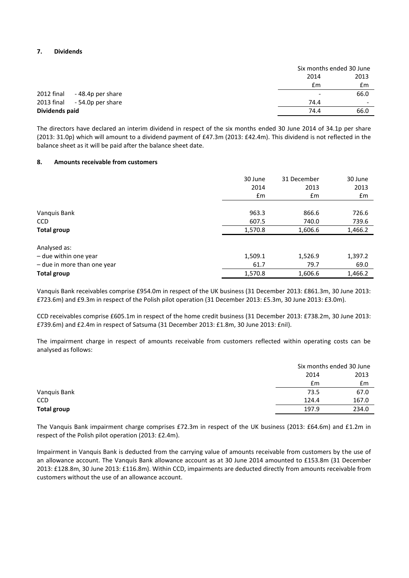## **7. Dividends**

|                                 |                          | Six months ended 30 June |
|---------------------------------|--------------------------|--------------------------|
|                                 | 2014                     | 2013                     |
|                                 | £m                       | £m                       |
| 2012 final<br>-48.4p per share  | $\overline{\phantom{a}}$ | 66.0                     |
| 2013 final<br>- 54.0p per share | 74.4                     | $\overline{\phantom{0}}$ |
| Dividends paid                  | 74.4                     | 66.0                     |

The directors have declared an interim dividend in respect of the six months ended 30 June 2014 of 34.1p per share (2013: 31.0p) which will amount to a dividend payment of £47.3m (2013: £42.4m). This dividend is not reflected in the balance sheet as it will be paid after the balance sheet date.

## **8. Amounts receivable from customers**

|                             | 30 June | 31 December | 30 June |
|-----------------------------|---------|-------------|---------|
|                             | 2014    | 2013        | 2013    |
|                             | £m      | £m          | £m      |
|                             |         |             |         |
| Vanquis Bank                | 963.3   | 866.6       | 726.6   |
| <b>CCD</b>                  | 607.5   | 740.0       | 739.6   |
| <b>Total group</b>          | 1,570.8 | 1,606.6     | 1,466.2 |
| Analysed as:                |         |             |         |
| - due within one year       | 1,509.1 | 1,526.9     | 1,397.2 |
| - due in more than one year | 61.7    | 79.7        | 69.0    |
| <b>Total group</b>          | 1,570.8 | 1,606.6     | 1,466.2 |

Vanquis Bank receivables comprise £954.0m in respect of the UK business (31 December 2013: £861.3m, 30 June 2013: £723.6m) and £9.3m in respect of the Polish pilot operation (31 December 2013: £5.3m, 30 June 2013: £3.0m).

CCD receivables comprise £605.1m in respect of the home credit business (31 December 2013: £738.2m, 30 June 2013: £739.6m) and £2.4m in respect of Satsuma (31 December 2013: £1.8m, 30 June 2013: £nil).

The impairment charge in respect of amounts receivable from customers reflected within operating costs can be analysed as follows:

|                    |       | Six months ended 30 June |
|--------------------|-------|--------------------------|
|                    | 2014  | 2013                     |
|                    | £m    | £m                       |
| Vanquis Bank       | 73.5  | 67.0                     |
| <b>CCD</b>         | 124.4 | 167.0                    |
| <b>Total group</b> | 197.9 | 234.0                    |

The Vanquis Bank impairment charge comprises £72.3m in respect of the UK business (2013: £64.6m) and £1.2m in respect of the Polish pilot operation (2013: £2.4m).

Impairment in Vanquis Bank is deducted from the carrying value of amounts receivable from customers by the use of an allowance account. The Vanquis Bank allowance account as at 30 June 2014 amounted to £153.8m (31 December 2013: £128.8m, 30 June 2013: £116.8m). Within CCD, impairments are deducted directly from amounts receivable from customers without the use of an allowance account.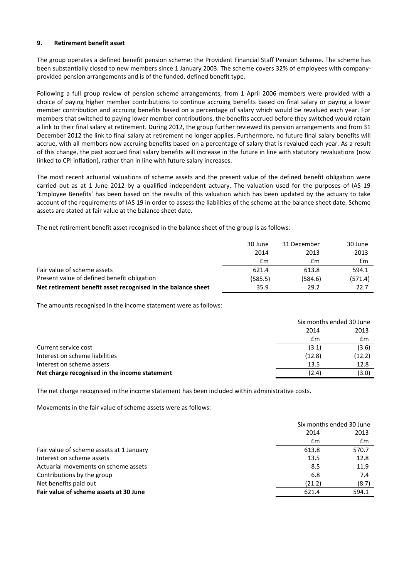## **9. Retirement benefit asset**

The group operates a defined benefit pension scheme: the Provident Financial Staff Pension Scheme. The scheme has been substantially closed to new members since 1 January 2003. The scheme covers 32% of employees with companyprovided pension arrangements and is of the funded, defined benefit type.

Following a full group review of pension scheme arrangements, from 1 April 2006 members were provided with a choice of paying higher member contributions to continue accruing benefits based on final salary or paying a lower member contribution and accruing benefits based on a percentage of salary which would be revalued each year. For members that switched to paying lower member contributions, the benefits accrued before they switched would retain a link to their final salary at retirement. During 2012, the group further reviewed its pension arrangements and from 31 December 2012 the link to final salary at retirement no longer applies. Furthermore, no future final salary benefits will accrue, with all members now accruing benefits based on a percentage of salary that is revalued each year. As a result of this change, the past accrued final salary benefits will increase in the future in line with statutory revaluations (now linked to CPI inflation), rather than in line with future salary increases.

The most recent actuarial valuations of scheme assets and the present value of the defined benefit obligation were carried out as at 1 June 2012 by a qualified independent actuary. The valuation used for the purposes of IAS 19 'Employee Benefits' has been based on the results of this valuation which has been updated by the actuary to take account of the requirements of IAS 19 in order to assess the liabilities of the scheme at the balance sheet date. Scheme assets are stated at fair value at the balance sheet date.

The net retirement benefit asset recognised in the balance sheet of the group is as follows:

|                                                              | 30 June | 31 December | 30 June        |
|--------------------------------------------------------------|---------|-------------|----------------|
|                                                              | 2014    | 2013        | 2013           |
|                                                              | £m      | £m          | $\mathbf{f}$ m |
| Fair value of scheme assets                                  | 621.4   | 613.8       | 594.1          |
| Present value of defined benefit obligation                  | (585.5) | (584.6)     | (571.4)        |
| Net retirement benefit asset recognised in the balance sheet | 35.9    | 29.2        | 22.7           |

The amounts recognised in the income statement were as follows:

|                                               | Six months ended 30 June |        |  |
|-----------------------------------------------|--------------------------|--------|--|
|                                               | 2014                     | 2013   |  |
|                                               | £m                       | £m     |  |
| Current service cost                          | (3.1)                    | (3.6)  |  |
| Interest on scheme liabilities                | (12.8)                   | (12.2) |  |
| Interest on scheme assets                     | 13.5                     | 12.8   |  |
| Net charge recognised in the income statement | (2.4)                    | (3.0)  |  |

The net charge recognised in the income statement has been included within administrative costs.

Movements in the fair value of scheme assets were as follows:

|                                          |               | Six months ended 30 June |
|------------------------------------------|---------------|--------------------------|
|                                          | 2014          | 2013                     |
|                                          | $\mathsf{fm}$ | Em                       |
| Fair value of scheme assets at 1 January | 613.8         | 570.7                    |
| Interest on scheme assets                | 13.5          | 12.8                     |
| Actuarial movements on scheme assets     | 8.5           | 11.9                     |
| Contributions by the group               | 6.8           | 7.4                      |
| Net benefits paid out                    | (21.2)        | (8.7)                    |
| Fair value of scheme assets at 30 June   | 621.4         | 594.1                    |
|                                          |               |                          |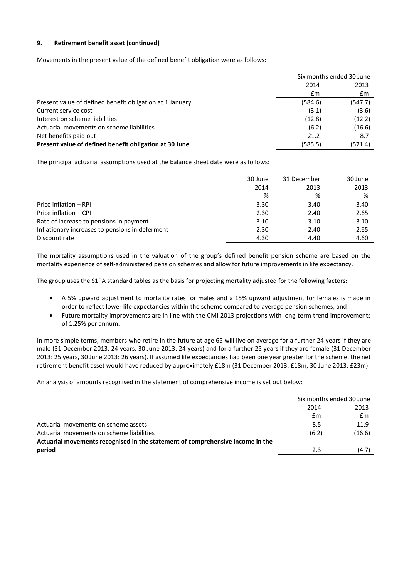# **9. Retirement benefit asset (continued)**

Movements in the present value of the defined benefit obligation were as follows:

|                                                          | Six months ended 30 June |         |
|----------------------------------------------------------|--------------------------|---------|
|                                                          | 2014                     | 2013    |
|                                                          | £m                       | £m      |
| Present value of defined benefit obligation at 1 January | (584.6)                  | (547.7) |
| Current service cost                                     | (3.1)                    | (3.6)   |
| Interest on scheme liabilities                           | (12.8)                   | (12.2)  |
| Actuarial movements on scheme liabilities                | (6.2)                    | (16.6)  |
| Net benefits paid out                                    | 21.2                     | 8.7     |
| Present value of defined benefit obligation at 30 June   | (585.5)                  | (571.4) |

The principal actuarial assumptions used at the balance sheet date were as follows:

|                                                 | 30 June | 31 December | 30 June |
|-------------------------------------------------|---------|-------------|---------|
|                                                 | 2014    | 2013        | 2013    |
|                                                 | %       | %           | %       |
| Price inflation - RPI                           | 3.30    | 3.40        | 3.40    |
| Price inflation - CPI                           | 2.30    | 2.40        | 2.65    |
| Rate of increase to pensions in payment         | 3.10    | 3.10        | 3.10    |
| Inflationary increases to pensions in deferment | 2.30    | 2.40        | 2.65    |
| Discount rate                                   | 4.30    | 4.40        | 4.60    |

The mortality assumptions used in the valuation of the group's defined benefit pension scheme are based on the mortality experience of self-administered pension schemes and allow for future improvements in life expectancy.

The group uses the S1PA standard tables as the basis for projecting mortality adjusted for the following factors:

- A 5% upward adjustment to mortality rates for males and a 15% upward adjustment for females is made in order to reflect lower life expectancies within the scheme compared to average pension schemes; and
- Future mortality improvements are in line with the CMI 2013 projections with long-term trend improvements of 1.25% per annum.

In more simple terms, members who retire in the future at age 65 will live on average for a further 24 years if they are male (31 December 2013: 24 years, 30 June 2013: 24 years) and for a further 25 years if they are female (31 December 2013: 25 years, 30 June 2013: 26 years). If assumed life expectancies had been one year greater for the scheme, the net retirement benefit asset would have reduced by approximately £18m (31 December 2013: £18m, 30 June 2013: £23m).

An analysis of amounts recognised in the statement of comprehensive income is set out below:

|                                                                                |       | Six months ended 30 June |  |
|--------------------------------------------------------------------------------|-------|--------------------------|--|
|                                                                                | 2014  | 2013                     |  |
|                                                                                | £m    | £m                       |  |
| Actuarial movements on scheme assets                                           | 8.5   | 11.9                     |  |
| Actuarial movements on scheme liabilities                                      | (6.2) | (16.6)                   |  |
| Actuarial movements recognised in the statement of comprehensive income in the |       |                          |  |
| period                                                                         | 2.3   | (4.7)                    |  |
|                                                                                |       |                          |  |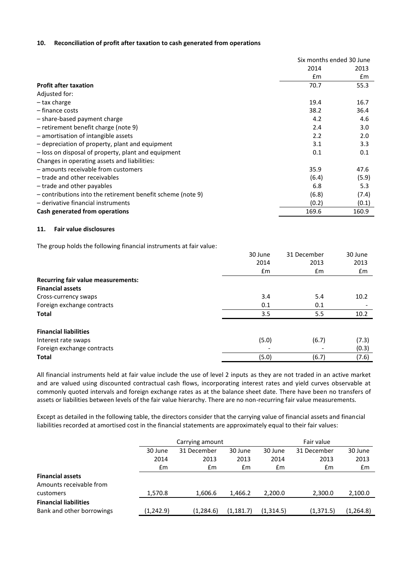## **10. Reconciliation of profit after taxation to cash generated from operations**

|                                                             | Six months ended 30 June |               |  |
|-------------------------------------------------------------|--------------------------|---------------|--|
|                                                             | 2014                     | 2013          |  |
|                                                             | $\mathsf{fm}$            | $\mathsf{fm}$ |  |
| <b>Profit after taxation</b>                                | 70.7                     | 55.3          |  |
| Adjusted for:                                               |                          |               |  |
| – tax charge                                                | 19.4                     | 16.7          |  |
| - finance costs                                             | 38.2                     | 36.4          |  |
| - share-based payment charge                                | 4.2                      | 4.6           |  |
| - retirement benefit charge (note 9)                        | 2.4                      | 3.0           |  |
| - amortisation of intangible assets                         | 2.2                      | 2.0           |  |
| - depreciation of property, plant and equipment             | 3.1                      | 3.3           |  |
| - loss on disposal of property, plant and equipment         | 0.1                      | 0.1           |  |
| Changes in operating assets and liabilities:                |                          |               |  |
| - amounts receivable from customers                         | 35.9                     | 47.6          |  |
| - trade and other receivables                               | (6.4)                    | (5.9)         |  |
| - trade and other payables                                  | 6.8                      | 5.3           |  |
| - contributions into the retirement benefit scheme (note 9) | (6.8)                    | (7.4)         |  |
| - derivative financial instruments                          | (0.2)                    | (0.1)         |  |
| Cash generated from operations                              | 169.6                    | 160.9         |  |

## **11. Fair value disclosures**

The group holds the following financial instruments at fair value:

|                                           | 30 June       | 31 December | 30 June |  |
|-------------------------------------------|---------------|-------------|---------|--|
|                                           | 2014          | 2013        | 2013    |  |
|                                           | $\mathsf{fm}$ | £m          | £m      |  |
| <b>Recurring fair value measurements:</b> |               |             |         |  |
| <b>Financial assets</b>                   |               |             |         |  |
| Cross-currency swaps                      | 3.4           | 5.4         | 10.2    |  |
| Foreign exchange contracts                | 0.1           | 0.1         |         |  |
| <b>Total</b>                              | 3.5           | 5.5         | 10.2    |  |
| <b>Financial liabilities</b>              |               |             |         |  |
| Interest rate swaps                       | (5.0)         | (6.7)       | (7.3)   |  |
| Foreign exchange contracts                |               |             | (0.3)   |  |
| <b>Total</b>                              | (5.0)         | (6.7)       | (7.6)   |  |

All financial instruments held at fair value include the use of level 2 inputs as they are not traded in an active market and are valued using discounted contractual cash flows, incorporating interest rates and yield curves observable at commonly quoted intervals and foreign exchange rates as at the balance sheet date. There have been no transfers of assets or liabilities between levels of the fair value hierarchy. There are no non-recurring fair value measurements.

Except as detailed in the following table, the directors consider that the carrying value of financial assets and financial liabilities recorded at amortised cost in the financial statements are approximately equal to their fair values:

|                              | Carrying amount |               |            | Fair value |             |           |
|------------------------------|-----------------|---------------|------------|------------|-------------|-----------|
|                              | 30 June         | 31 December   | 30 June    | 30 June    | 31 December | 30 June   |
|                              | 2014            | 2013          | 2013       | 2014       | 2013        | 2013      |
|                              | £m              | $\mathsf{fm}$ | £m         | £m         | £m          | £m        |
| <b>Financial assets</b>      |                 |               |            |            |             |           |
| Amounts receivable from      |                 |               |            |            |             |           |
| customers                    | 1.570.8         | 1.606.6       | 1.466.2    | 2.200.0    | 2,300.0     | 2,100.0   |
| <b>Financial liabilities</b> |                 |               |            |            |             |           |
| Bank and other borrowings    | (1, 242.9)      | (1,284.6)     | (1, 181.7) | (1,314.5)  | (1, 371.5)  | (1,264.8) |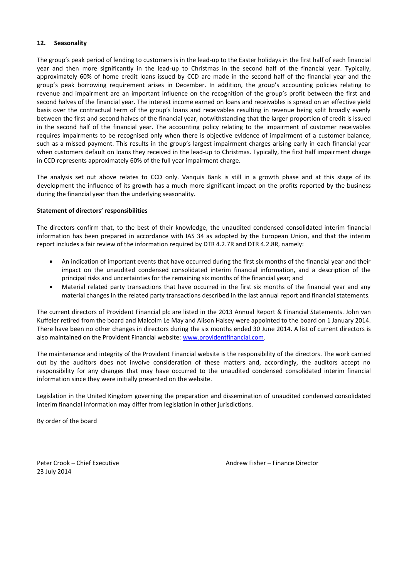# **12. Seasonality**

The group's peak period of lending to customers is in the lead-up to the Easter holidays in the first half of each financial year and then more significantly in the lead-up to Christmas in the second half of the financial year. Typically, approximately 60% of home credit loans issued by CCD are made in the second half of the financial year and the group's peak borrowing requirement arises in December. In addition, the group's accounting policies relating to revenue and impairment are an important influence on the recognition of the group's profit between the first and second halves of the financial year. The interest income earned on loans and receivables is spread on an effective yield basis over the contractual term of the group's loans and receivables resulting in revenue being split broadly evenly between the first and second halves of the financial year, notwithstanding that the larger proportion of credit is issued in the second half of the financial year. The accounting policy relating to the impairment of customer receivables requires impairments to be recognised only when there is objective evidence of impairment of a customer balance, such as a missed payment. This results in the group's largest impairment charges arising early in each financial year when customers default on loans they received in the lead-up to Christmas. Typically, the first half impairment charge in CCD represents approximately 60% of the full year impairment charge.

The analysis set out above relates to CCD only. Vanquis Bank is still in a growth phase and at this stage of its development the influence of its growth has a much more significant impact on the profits reported by the business during the financial year than the underlying seasonality.

## **Statement of directors' responsibilities**

The directors confirm that, to the best of their knowledge, the unaudited condensed consolidated interim financial information has been prepared in accordance with IAS 34 as adopted by the European Union, and that the interim report includes a fair review of the information required by DTR 4.2.7R and DTR 4.2.8R, namely:

- An indication of important events that have occurred during the first six months of the financial year and their impact on the unaudited condensed consolidated interim financial information, and a description of the principal risks and uncertainties for the remaining six months of the financial year; and
- Material related party transactions that have occurred in the first six months of the financial year and any material changes in the related party transactions described in the last annual report and financial statements.

The current directors of Provident Financial plc are listed in the 2013 Annual Report & Financial Statements. John van Kuffeler retired from the board and Malcolm Le May and Alison Halsey were appointed to the board on 1 January 2014. There have been no other changes in directors during the six months ended 30 June 2014. A list of current directors is also maintained on the Provident Financial website: [www.providentfinancial.com.](http://www.providentfinancial.com/)

The maintenance and integrity of the Provident Financial website is the responsibility of the directors. The work carried out by the auditors does not involve consideration of these matters and, accordingly, the auditors accept no responsibility for any changes that may have occurred to the unaudited condensed consolidated interim financial information since they were initially presented on the website.

Legislation in the United Kingdom governing the preparation and dissemination of unaudited condensed consolidated interim financial information may differ from legislation in other jurisdictions.

By order of the board

23 July 2014

Peter Crook – Chief Executive Andrew Fisher – Finance Director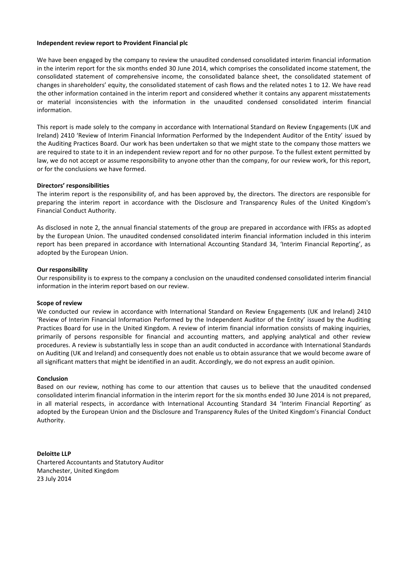#### **Independent review report to Provident Financial plc**

We have been engaged by the company to review the unaudited condensed consolidated interim financial information in the interim report for the six months ended 30 June 2014, which comprises the consolidated income statement, the consolidated statement of comprehensive income, the consolidated balance sheet, the consolidated statement of changes in shareholders' equity, the consolidated statement of cash flows and the related notes 1 to 12. We have read the other information contained in the interim report and considered whether it contains any apparent misstatements or material inconsistencies with the information in the unaudited condensed consolidated interim financial information.

This report is made solely to the company in accordance with International Standard on Review Engagements (UK and Ireland) 2410 'Review of Interim Financial Information Performed by the Independent Auditor of the Entity' issued by the Auditing Practices Board. Our work has been undertaken so that we might state to the company those matters we are required to state to it in an independent review report and for no other purpose. To the fullest extent permitted by law, we do not accept or assume responsibility to anyone other than the company, for our review work, for this report, or for the conclusions we have formed.

## **Directors' responsibilities**

The interim report is the responsibility of, and has been approved by, the directors. The directors are responsible for preparing the interim report in accordance with the Disclosure and Transparency Rules of the United Kingdom's Financial Conduct Authority.

As disclosed in note 2, the annual financial statements of the group are prepared in accordance with IFRSs as adopted by the European Union. The unaudited condensed consolidated interim financial information included in this interim report has been prepared in accordance with International Accounting Standard 34, 'Interim Financial Reporting', as adopted by the European Union.

#### **Our responsibility**

Our responsibility is to express to the company a conclusion on the unaudited condensed consolidated interim financial information in the interim report based on our review.

#### **Scope of review**

We conducted our review in accordance with International Standard on Review Engagements (UK and Ireland) 2410 'Review of Interim Financial Information Performed by the Independent Auditor of the Entity' issued by the Auditing Practices Board for use in the United Kingdom. A review of interim financial information consists of making inquiries, primarily of persons responsible for financial and accounting matters, and applying analytical and other review procedures. A review is substantially less in scope than an audit conducted in accordance with International Standards on Auditing (UK and Ireland) and consequently does not enable us to obtain assurance that we would become aware of all significant matters that might be identified in an audit. Accordingly, we do not express an audit opinion.

#### **Conclusion**

Based on our review, nothing has come to our attention that causes us to believe that the unaudited condensed consolidated interim financial information in the interim report for the six months ended 30 June 2014 is not prepared, in all material respects, in accordance with International Accounting Standard 34 'Interim Financial Reporting' as adopted by the European Union and the Disclosure and Transparency Rules of the United Kingdom's Financial Conduct Authority.

**Deloitte LLP** Chartered Accountants and Statutory Auditor Manchester, United Kingdom 23 July 2014